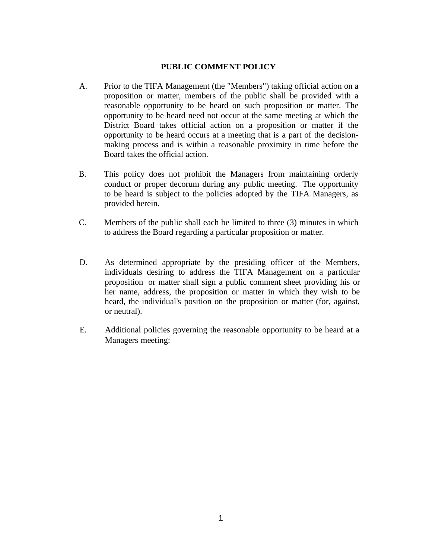## **PUBLIC COMMENT POLICY**

- A. Prior to the TIFA Management (the "Members") taking official action on a proposition or matter, members of the public shall be provided with a reasonable opportunity to be heard on such proposition or matter. The opportunity to be heard need not occur at the same meeting at which the District Board takes official action on a proposition or matter if the opportunity to be heard occurs at a meeting that is a part of the decisionmaking process and is within a reasonable proximity in time before the Board takes the official action.
- B. This policy does not prohibit the Managers from maintaining orderly conduct or proper decorum during any public meeting. The opportunity to be heard is subject to the policies adopted by the TIFA Managers, as provided herein.
- C. Members of the public shall each be limited to three (3) minutes in which to address the Board regarding a particular proposition or matter.
- D. As determined appropriate by the presiding officer of the Members, individuals desiring to address the TIFA Management on a particular proposition or matter shall sign a public comment sheet providing his or her name, address, the proposition or matter in which they wish to be heard, the individual's position on the proposition or matter (for, against, or neutral).
- E. Additional policies governing the reasonable opportunity to be heard at a Managers meeting: